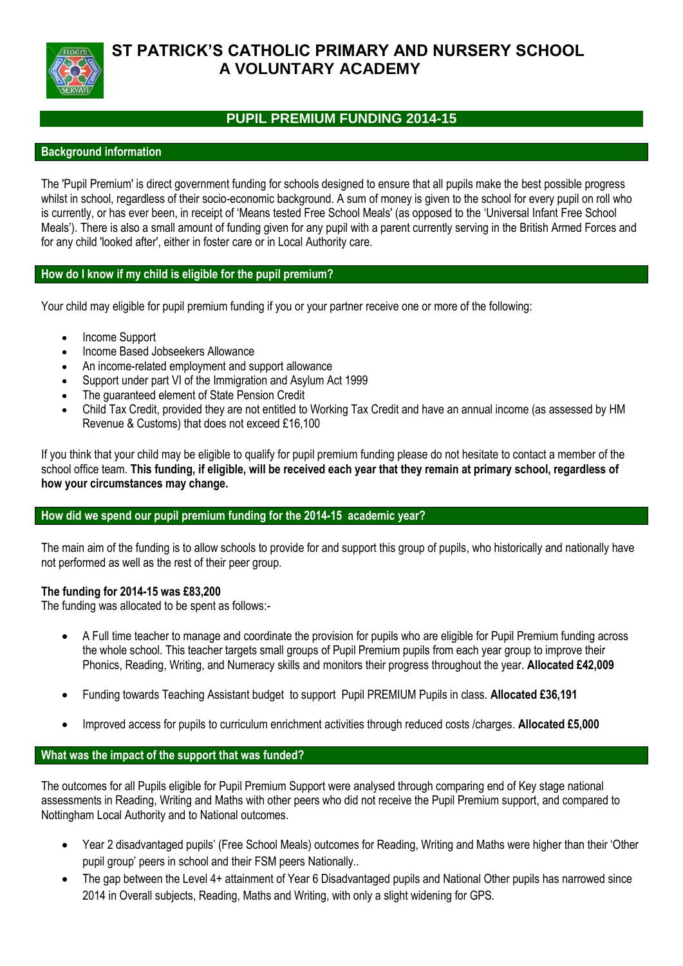

# **ST PATRICK'S CATHOLIC PRIMARY AND NURSERY SCHOOL A VOLUNTARY ACADEMY**

## **PUPIL PREMIUM FUNDING 2014-15**

## **Background information**

The 'Pupil Premium' is direct government funding for schools designed to ensure that all pupils make the best possible progress whilst in school, regardless of their socio-economic background. A sum of money is given to the school for every pupil on roll who is currently, or has ever been, in receipt of 'Means tested Free School Meals' (as opposed to the 'Universal Infant Free School Meals'). There is also a small amount of funding given for any pupil with a parent currently serving in the British Armed Forces and for any child 'looked after', either in foster care or in Local Authority care.

## **How do I know if my child is eligible for the pupil premium?**

Your child may eligible for pupil premium funding if you or your partner receive one or more of the following:

- Income Support
- Income Based Jobseekers Allowance
- An income-related employment and support allowance
- Support under part VI of the Immigration and Asylum Act 1999
- The guaranteed element of State Pension Credit
- Child Tax Credit, provided they are not entitled to Working Tax Credit and have an annual income (as assessed by HM Revenue & Customs) that does not exceed £16,100

If you think that your child may be eligible to qualify for pupil premium funding please do not hesitate to contact a member of the school office team. **This funding, if eligible, will be received each year that they remain at primary school, regardless of how your circumstances may change.**

### **How did we spend our pupil premium funding for the 2014-15 academic year?**

The main aim of the funding is to allow schools to provide for and support this group of pupils, who historically and nationally have not performed as well as the rest of their peer group.

### **The funding for 2014-15 was £83,200**

The funding was allocated to be spent as follows:-

- A Full time teacher to manage and coordinate the provision for pupils who are eligible for Pupil Premium funding across the whole school. This teacher targets small groups of Pupil Premium pupils from each year group to improve their Phonics, Reading, Writing, and Numeracy skills and monitors their progress throughout the year. **Allocated £42,009**
- Funding towards Teaching Assistant budget to support Pupil PREMIUM Pupils in class. **Allocated £36,191**
- Improved access for pupils to curriculum enrichment activities through reduced costs /charges. **Allocated £5,000**

### **What was the impact of the support that was funded?**

The outcomes for all Pupils eligible for Pupil Premium Support were analysed through comparing end of Key stage national assessments in Reading, Writing and Maths with other peers who did not receive the Pupil Premium support, and compared to Nottingham Local Authority and to National outcomes.

- Year 2 disadvantaged pupils' (Free School Meals) outcomes for Reading, Writing and Maths were higher than their 'Other pupil group' peers in school and their FSM peers Nationally..
- The gap between the Level 4+ attainment of Year 6 Disadvantaged pupils and National Other pupils has narrowed since 2014 in Overall subjects, Reading, Maths and Writing, with only a slight widening for GPS.